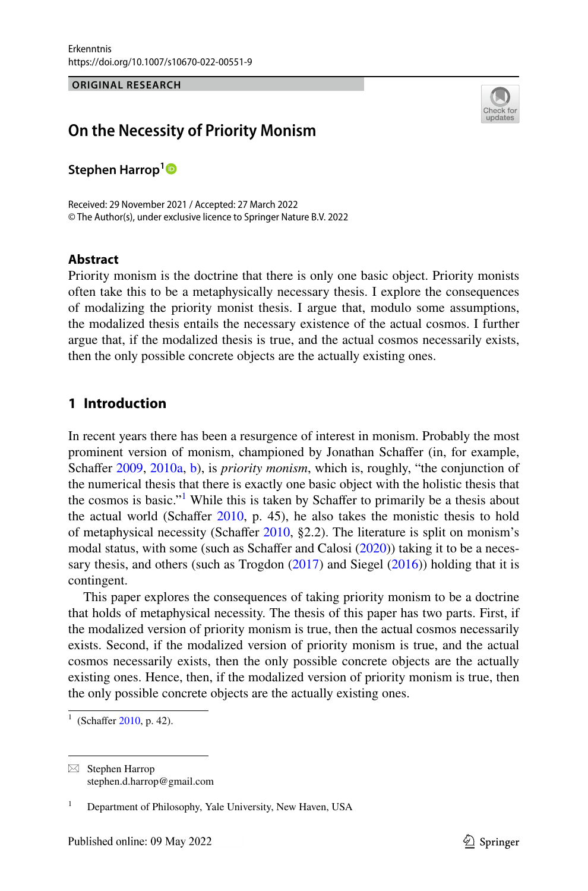**ORIGINAL RESEARCH**



# **On the Necessity of Priority Monism**

**Stephen Harrop[1](http://orcid.org/0000-0002-3578-2167)**

Received: 29 November 2021 / Accepted: 27 March 2022 © The Author(s), under exclusive licence to Springer Nature B.V. 2022

### **Abstract**

Priority monism is the doctrine that there is only one basic object. Priority monists often take this to be a metaphysically necessary thesis. I explore the consequences of modalizing the priority monist thesis. I argue that, modulo some assumptions, the modalized thesis entails the necessary existence of the actual cosmos. I further argue that, if the modalized thesis is true, and the actual cosmos necessarily exists, then the only possible concrete objects are the actually existing ones.

# **1 Introduction**

In recent years there has been a resurgence of interest in monism. Probably the most prominent version of monism, championed by Jonathan Schafer (in, for example, Schaffer [2009,](#page-17-0) [2010a,](#page-17-1) [b](#page-17-2)), is *priority monism*, which is, roughly, "the conjunction of the numerical thesis that there is exactly one basic object with the holistic thesis that the cosmos is basic."<sup>[1](#page-0-0)</sup> While this is taken by Schaffer to primarily be a thesis about the actual world (Schaffer  $2010$ , p. 45), he also takes the monistic thesis to hold of metaphysical necessity (Schafer [2010,](#page-17-1) §2.2). The literature is split on monism's modal status, with some (such as Schaffer and Calosi  $(2020)$  $(2020)$ ) taking it to be a necessary thesis, and others (such as Trogdon  $(2017)$  $(2017)$  and Siegel  $(2016)$  $(2016)$ ) holding that it is contingent.

This paper explores the consequences of taking priority monism to be a doctrine that holds of metaphysical necessity. The thesis of this paper has two parts. First, if the modalized version of priority monism is true, then the actual cosmos necessarily exists. Second, if the modalized version of priority monism is true, and the actual cosmos necessarily exists, then the only possible concrete objects are the actually existing ones. Hence, then, if the modalized version of priority monism is true, then the only possible concrete objects are the actually existing ones.

<span id="page-0-0"></span><sup>&</sup>lt;sup>1</sup> (Schaffer [2010,](#page-17-1) p. 42).

 $\boxtimes$  Stephen Harrop stephen.d.harrop@gmail.com

<sup>1</sup> Department of Philosophy, Yale University, New Haven, USA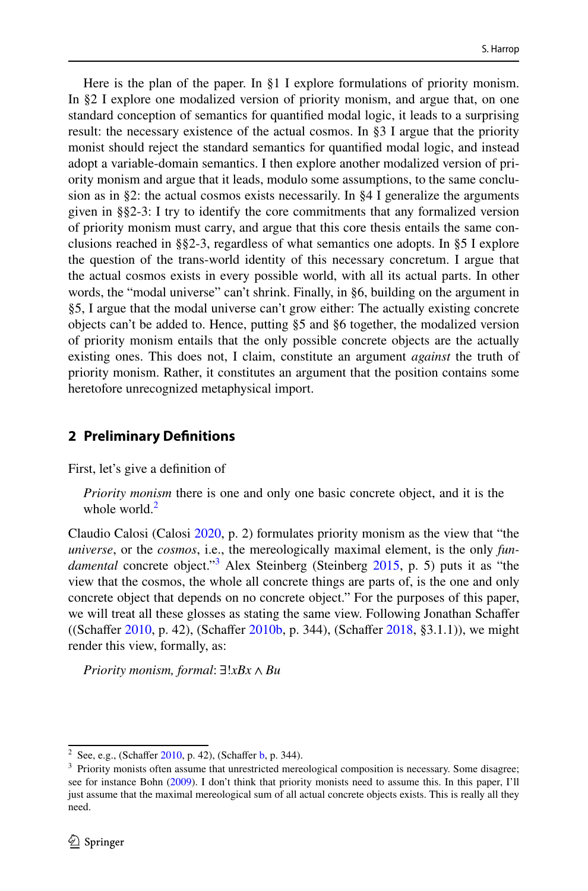Here is the plan of the paper. In §1 I explore formulations of priority monism. In §2 I explore one modalized version of priority monism, and argue that, on one standard conception of semantics for quantifed modal logic, it leads to a surprising result: the necessary existence of the actual cosmos. In §3 I argue that the priority monist should reject the standard semantics for quantifed modal logic, and instead adopt a variable-domain semantics. I then explore another modalized version of priority monism and argue that it leads, modulo some assumptions, to the same conclusion as in §2: the actual cosmos exists necessarily. In §4 I generalize the arguments given in §§2-3: I try to identify the core commitments that any formalized version of priority monism must carry, and argue that this core thesis entails the same conclusions reached in §§2-3, regardless of what semantics one adopts. In §5 I explore the question of the trans-world identity of this necessary concretum. I argue that the actual cosmos exists in every possible world, with all its actual parts. In other words, the "modal universe" can't shrink. Finally, in §6, building on the argument in §5, I argue that the modal universe can't grow either: The actually existing concrete objects can't be added to. Hence, putting §5 and §6 together, the modalized version of priority monism entails that the only possible concrete objects are the actually existing ones. This does not, I claim, constitute an argument *against* the truth of priority monism. Rather, it constitutes an argument that the position contains some heretofore unrecognized metaphysical import.

#### **2 Preliminary Defnitions**

First, let's give a defnition of

*Priority monism* there is one and only one basic concrete object, and it is the whole world. $<sup>2</sup>$  $<sup>2</sup>$  $<sup>2</sup>$ </sup>

Claudio Calosi (Calosi [2020](#page-17-3), p. 2) formulates priority monism as the view that "the *universe*, or the *cosmos*, i.e., the mereologically maximal element, is the only *fun-*damental concrete object.<sup>[3](#page-1-1)</sup> Alex Steinberg (Steinberg [2015,](#page-17-6) p. 5) puts it as "the view that the cosmos, the whole all concrete things are parts of, is the one and only concrete object that depends on no concrete object." For the purposes of this paper, we will treat all these glosses as stating the same view. Following Jonathan Schafer ((Schaffer [2010](#page-17-1), p. 42), (Schaffer [2010b](#page-17-2), p. 344), (Schaffer [2018,](#page-17-7) §3.1.1)), we might render this view, formally, as:

*Priority monism, formal*: ∃!*xBx* ∧ *Bu*

<span id="page-1-0"></span><sup>&</sup>lt;sup>2</sup> See, e.g., (Schaffer  $2010$ , p. 42), (Schaffer [b,](#page-17-2) p. 344).

<span id="page-1-1"></span><sup>&</sup>lt;sup>3</sup> Priority monists often assume that unrestricted mereological composition is necessary. Some disagree; see for instance Bohn [\(2009](#page-17-8)). I don't think that priority monists need to assume this. In this paper, I'll just assume that the maximal mereological sum of all actual concrete objects exists. This is really all they need.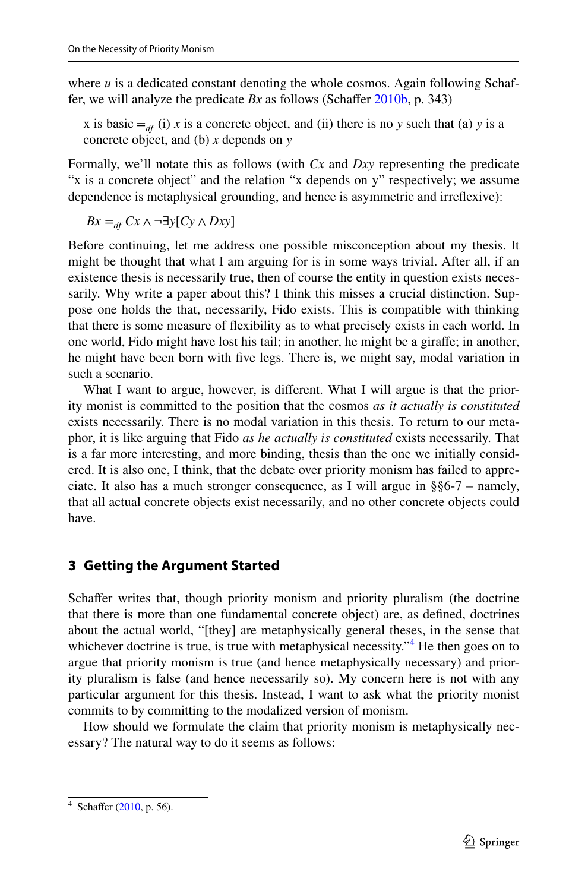where  $u$  is a dedicated constant denoting the whole cosmos. Again following Schaffer, we will analyze the predicate *Bx* as follows (Schafer [2010b,](#page-17-2) p. 343)

x is basic  $=$ <sub>*df*</sub> (i) x is a concrete object, and (ii) there is no y such that (a) y is a concrete object, and (b) *x* depends on *y*

Formally, we'll notate this as follows (with *Cx* and *Dxy* representing the predicate "x is a concrete object" and the relation "x depends on y" respectively; we assume dependence is metaphysical grounding, and hence is asymmetric and irrefexive):

 $Bx =$ <sub>*df</sub>*  $Cx \wedge \neg \exists y$ [ $Cy \wedge Dxy$ ]</sub>

Before continuing, let me address one possible misconception about my thesis. It might be thought that what I am arguing for is in some ways trivial. After all, if an existence thesis is necessarily true, then of course the entity in question exists necessarily. Why write a paper about this? I think this misses a crucial distinction. Suppose one holds the that, necessarily, Fido exists. This is compatible with thinking that there is some measure of fexibility as to what precisely exists in each world. In one world, Fido might have lost his tail; in another, he might be a girafe; in another, he might have been born with fve legs. There is, we might say, modal variation in such a scenario.

What I want to argue, however, is different. What I will argue is that the priority monist is committed to the position that the cosmos *as it actually is constituted* exists necessarily. There is no modal variation in this thesis. To return to our metaphor, it is like arguing that Fido *as he actually is constituted* exists necessarily. That is a far more interesting, and more binding, thesis than the one we initially considered. It is also one, I think, that the debate over priority monism has failed to appreciate. It also has a much stronger consequence, as I will argue in §§6-7 – namely, that all actual concrete objects exist necessarily, and no other concrete objects could have.

## **3 Getting the Argument Started**

Schaffer writes that, though priority monism and priority pluralism (the doctrine that there is more than one fundamental concrete object) are, as defned, doctrines about the actual world, "[they] are metaphysically general theses, in the sense that whichever doctrine is true, is true with metaphysical necessity.<sup> $,4$  $,4$ </sup> He then goes on to argue that priority monism is true (and hence metaphysically necessary) and priority pluralism is false (and hence necessarily so). My concern here is not with any particular argument for this thesis. Instead, I want to ask what the priority monist commits to by committing to the modalized version of monism.

How should we formulate the claim that priority monism is metaphysically necessary? The natural way to do it seems as follows:

<span id="page-2-0"></span> $4$  Schaffer ([2010,](#page-17-1) p. 56).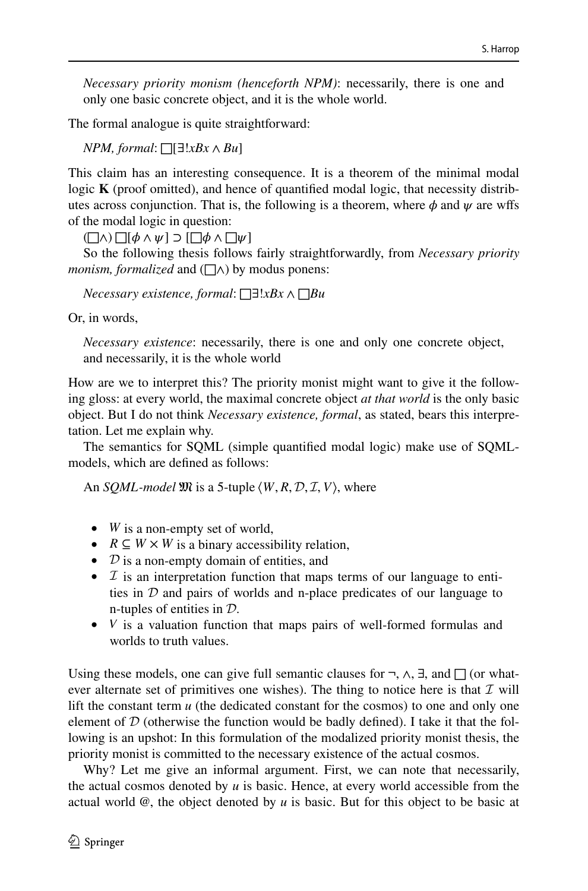*Necessary priority monism (henceforth NPM)*: necessarily, there is one and only one basic concrete object, and it is the whole world.

The formal analogue is quite straightforward:

*NPM, formal*: □[∃!*xBx* ∧ *Bu*]

This claim has an interesting consequence. It is a theorem of the minimal modal logic **K** (proof omitted), and hence of quantifed modal logic, that necessity distributes across conjunction. That is, the following is a theorem, where  $\phi$  and  $\psi$  are wffs of the modal logic in question:

 $(\Box \wedge) \Box [\phi \wedge \psi] \supset [\Box \phi \wedge \Box \psi]$ 

So the following thesis follows fairly straightforwardly, from *Necessary priority monism, formalized* and (□∧) by modus ponens:

*Necessary existence, formal*: □∃!*xBx* ∧ □*Bu*

Or, in words,

*Necessary existence*: necessarily, there is one and only one concrete object, and necessarily, it is the whole world

How are we to interpret this? The priority monist might want to give it the following gloss: at every world, the maximal concrete object *at that world* is the only basic object. But I do not think *Necessary existence, formal*, as stated, bears this interpretation. Let me explain why.

The semantics for SQML (simple quantifed modal logic) make use of SQMLmodels, which are defned as follows:

An *SQML-model*  $\mathfrak{M}$  is a 5-tuple  $\langle W, R, \mathcal{D}, \mathcal{I}, V \rangle$ , where

- *W* is a non-empty set of world,
- $R \subseteq W \times W$  is a binary accessibility relation,
- $\mathcal{D}$  is a non-empty domain of entities, and
- $I$  is an interpretation function that maps terms of our language to entities in  $D$  and pairs of worlds and n-place predicates of our language to n-tuples of entities in D.
- *V* is a valuation function that maps pairs of well-formed formulas and worlds to truth values.

Using these models, one can give full semantic clauses for  $\neg$ ,  $\wedge$ ,  $\exists$ , and  $\Box$  (or whatever alternate set of primitives one wishes). The thing to notice here is that  $\mathcal I$  will lift the constant term *u* (the dedicated constant for the cosmos) to one and only one element of  $D$  (otherwise the function would be badly defined). I take it that the following is an upshot: In this formulation of the modalized priority monist thesis, the priority monist is committed to the necessary existence of the actual cosmos.

Why? Let me give an informal argument. First, we can note that necessarily, the actual cosmos denoted by *u* is basic. Hence, at every world accessible from the actual world @, the object denoted by *u* is basic. But for this object to be basic at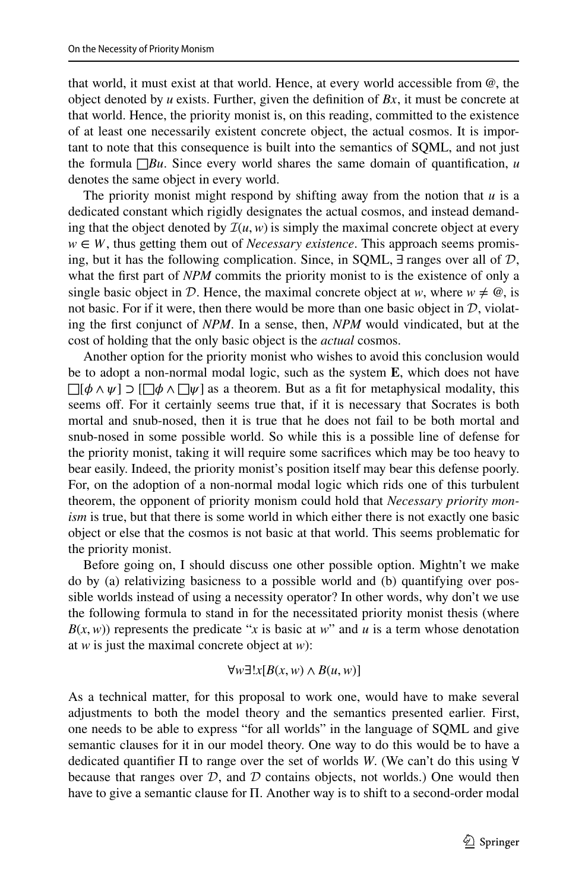that world, it must exist at that world. Hence, at every world accessible from @, the object denoted by *u* exists. Further, given the defnition of *Bx*, it must be concrete at that world. Hence, the priority monist is, on this reading, committed to the existence of at least one necessarily existent concrete object, the actual cosmos. It is important to note that this consequence is built into the semantics of SQML, and not just the formula  $\Box Bu$ . Since every world shares the same domain of quantification, *u* denotes the same object in every world.

The priority monist might respond by shifting away from the notion that *u* is a dedicated constant which rigidly designates the actual cosmos, and instead demanding that the object denoted by  $\mathcal{I}(u, w)$  is simply the maximal concrete object at every  $w \in W$ , thus getting them out of *Necessary existence*. This approach seems promising, but it has the following complication. Since, in SQML,  $\exists$  ranges over all of  $\mathcal{D}$ , what the first part of *NPM* commits the priority monist to is the existence of only a single basic object in D. Hence, the maximal concrete object at *w*, where  $w \neq \emptyset$ , is not basic. For if it were, then there would be more than one basic object in  $D$ , violating the frst conjunct of *NPM*. In a sense, then, *NPM* would vindicated, but at the cost of holding that the only basic object is the *actual* cosmos.

Another option for the priority monist who wishes to avoid this conclusion would be to adopt a non-normal modal logic, such as the system **E**, which does not have  $\Box[\phi \land \psi] \supset [\Box \phi \land \Box \psi]$  as a theorem. But as a fit for metaphysical modality, this seems off. For it certainly seems true that, if it is necessary that Socrates is both mortal and snub-nosed, then it is true that he does not fail to be both mortal and snub-nosed in some possible world. So while this is a possible line of defense for the priority monist, taking it will require some sacrifces which may be too heavy to bear easily. Indeed, the priority monist's position itself may bear this defense poorly. For, on the adoption of a non-normal modal logic which rids one of this turbulent theorem, the opponent of priority monism could hold that *Necessary priority monism* is true, but that there is some world in which either there is not exactly one basic object or else that the cosmos is not basic at that world. This seems problematic for the priority monist.

Before going on, I should discuss one other possible option. Mightn't we make do by (a) relativizing basicness to a possible world and (b) quantifying over possible worlds instead of using a necessity operator? In other words, why don't we use the following formula to stand in for the necessitated priority monist thesis (where  $B(x, w)$ ) represents the predicate "*x* is basic at *w*" and *u* is a term whose denotation at *w* is just the maximal concrete object at *w*):

$$
\forall w \exists! x [B(x, w) \land B(u, w)]
$$

As a technical matter, for this proposal to work one, would have to make several adjustments to both the model theory and the semantics presented earlier. First, one needs to be able to express "for all worlds" in the language of SQML and give semantic clauses for it in our model theory. One way to do this would be to have a dedicated quantifer Π to range over the set of worlds *W*. (We can't do this using ∀ because that ranges over  $D$ , and  $D$  contains objects, not worlds.) One would then have to give a semantic clause for Π. Another way is to shift to a second-order modal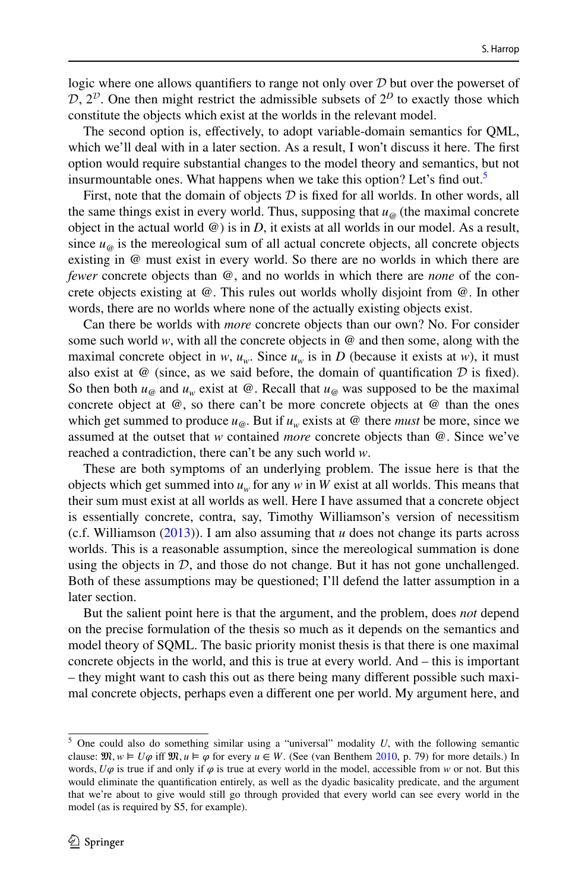logic where one allows quantifiers to range not only over  $D$  but over the powerset of  $D, 2<sup>D</sup>$ . One then might restrict the admissible subsets of  $2<sup>D</sup>$  to exactly those which constitute the objects which exist at the worlds in the relevant model.

The second option is, efectively, to adopt variable-domain semantics for QML, which we'll deal with in a later section. As a result, I won't discuss it here. The first option would require substantial changes to the model theory and semantics, but not insurmountable ones. What happens when we take this option? Let's find out.<sup>5</sup>

First, note that the domain of objects  $D$  is fixed for all worlds. In other words, all the same things exist in every world. Thus, supposing that  $u_{\omega}$  (the maximal concrete object in the actual world @) is in *D*, it exists at all worlds in our model. As a result, since  $u_{\omega}$  is the mereological sum of all actual concrete objects, all concrete objects existing in @ must exist in every world. So there are no worlds in which there are *fewer* concrete objects than @, and no worlds in which there are *none* of the concrete objects existing at @. This rules out worlds wholly disjoint from @. In other words, there are no worlds where none of the actually existing objects exist.

Can there be worlds with *more* concrete objects than our own? No. For consider some such world  $w$ , with all the concrete objects in  $\omega$  and then some, along with the maximal concrete object in *w*,  $u_w$ . Since  $u_w$  is in *D* (because it exists at *w*), it must also exist at  $\omega$  (since, as we said before, the domain of quantification  $D$  is fixed). So then both  $u_{\omega}$  and  $u_{\omega}$  exist at  $\omega$ . Recall that  $u_{\omega}$  was supposed to be the maximal concrete object at  $@$ , so there can't be more concrete objects at  $@$  than the ones which get summed to produce  $u_{\omega}$ . But if  $u_{\omega}$  exists at  $\omega$  there *must* be more, since we assumed at the outset that *w* contained *more* concrete objects than @. Since we've reached a contradiction, there can't be any such world *w*.

These are both symptoms of an underlying problem. The issue here is that the objects which get summed into  $u_w$  for any  $w$  in  $W$  exist at all worlds. This means that their sum must exist at all worlds as well. Here I have assumed that a concrete object is essentially concrete, contra, say, Timothy Williamson's version of necessitism (c.f. Williamson ([2013\)](#page-17-9)). I am also assuming that *u* does not change its parts across worlds. This is a reasonable assumption, since the mereological summation is done using the objects in  $D$ , and those do not change. But it has not gone unchallenged. Both of these assumptions may be questioned; I'll defend the latter assumption in a later section.

But the salient point here is that the argument, and the problem, does *not* depend on the precise formulation of the thesis so much as it depends on the semantics and model theory of SQML. The basic priority monist thesis is that there is one maximal concrete objects in the world, and this is true at every world. And – this is important – they might want to cash this out as there being many diferent possible such maximal concrete objects, perhaps even a diferent one per world. My argument here, and

<span id="page-5-0"></span><sup>5</sup> One could also do something similar using a "universal" modality *U*, with the following semantic clause:  $\mathfrak{M}, w \models U\varphi$  iff  $\mathfrak{M}, u \models \varphi$  for every  $u \in W$ . (See (van Benthem [2010,](#page-17-10) p. 79) for more details.) In words,  $U\varphi$  is true if and only if  $\varphi$  is true at every world in the model, accessible from *w* or not. But this would eliminate the quantifcation entirely, as well as the dyadic basicality predicate, and the argument that we're about to give would still go through provided that every world can see every world in the model (as is required by S5, for example).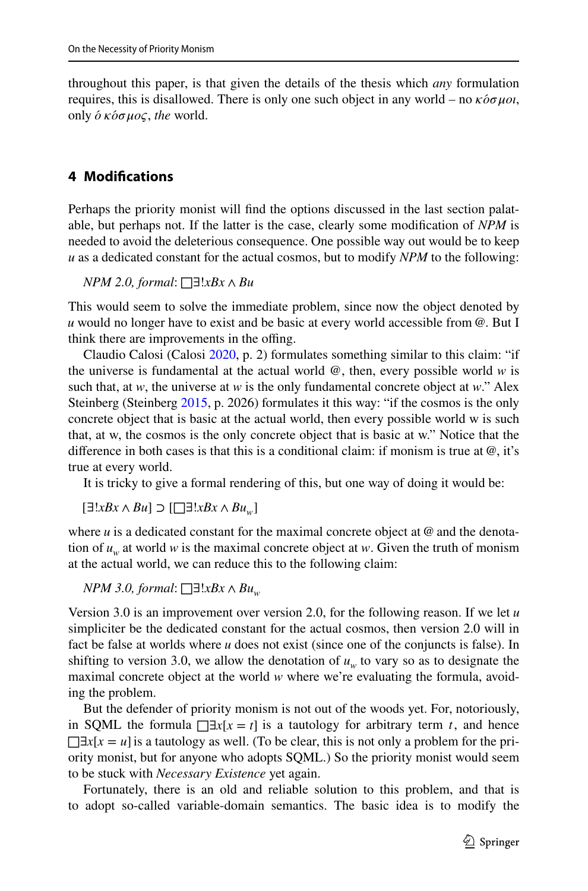throughout this paper, is that given the details of the thesis which *any* formulation requires, this is disallowed. There is only one such object in any world – no  $\kappa \delta \sigma \mu o \iota$ , only  $\acute{o}$  *κόσμος*, *the* world.

# **4 Modifcations**

Perhaps the priority monist will fnd the options discussed in the last section palatable, but perhaps not. If the latter is the case, clearly some modifcation of *NPM* is needed to avoid the deleterious consequence. One possible way out would be to keep *u* as a dedicated constant for the actual cosmos, but to modify *NPM* to the following:

*NPM 2.0, formal*: □∃!*xBx* ∧ *Bu*

This would seem to solve the immediate problem, since now the object denoted by *u* would no longer have to exist and be basic at every world accessible from @. But I think there are improvements in the offing.

Claudio Calosi (Calosi [2020](#page-17-3), p. 2) formulates something similar to this claim: "if the universe is fundamental at the actual world  $\omega$ , then, every possible world  $w$  is such that, at *w*, the universe at *w* is the only fundamental concrete object at *w*." Alex Steinberg (Steinberg [2015](#page-17-6), p. 2026) formulates it this way: "if the cosmos is the only concrete object that is basic at the actual world, then every possible world w is such that, at w, the cosmos is the only concrete object that is basic at w." Notice that the diference in both cases is that this is a conditional claim: if monism is true at @, it's true at every world.

It is tricky to give a formal rendering of this, but one way of doing it would be:

[∃!*xBx* ∧ *Bu*] *⊃* [□∃!*xBx* ∧ *Buw*]

where  $u$  is a dedicated constant for the maximal concrete object at  $@$  and the denotation of  $u_w$  at world *w* is the maximal concrete object at *w*. Given the truth of monism at the actual world, we can reduce this to the following claim:

*NPM 3.0, formal*: □∃*!xBx ∧ Bu<sub>w</sub>* 

Version 3.0 is an improvement over version 2.0, for the following reason. If we let *u* simpliciter be the dedicated constant for the actual cosmos, then version 2.0 will in fact be false at worlds where *u* does not exist (since one of the conjuncts is false). In shifting to version 3.0, we allow the denotation of  $u_w$  to vary so as to designate the maximal concrete object at the world *w* where we're evaluating the formula, avoiding the problem.

But the defender of priority monism is not out of the woods yet. For, notoriously, in SQML the formula  $\Box x[x = t]$  is a tautology for arbitrary term *t*, and hence  $\Box \exists x[x = u]$  is a tautology as well. (To be clear, this is not only a problem for the priority monist, but for anyone who adopts SQML.) So the priority monist would seem to be stuck with *Necessary Existence* yet again.

Fortunately, there is an old and reliable solution to this problem, and that is to adopt so-called variable-domain semantics. The basic idea is to modify the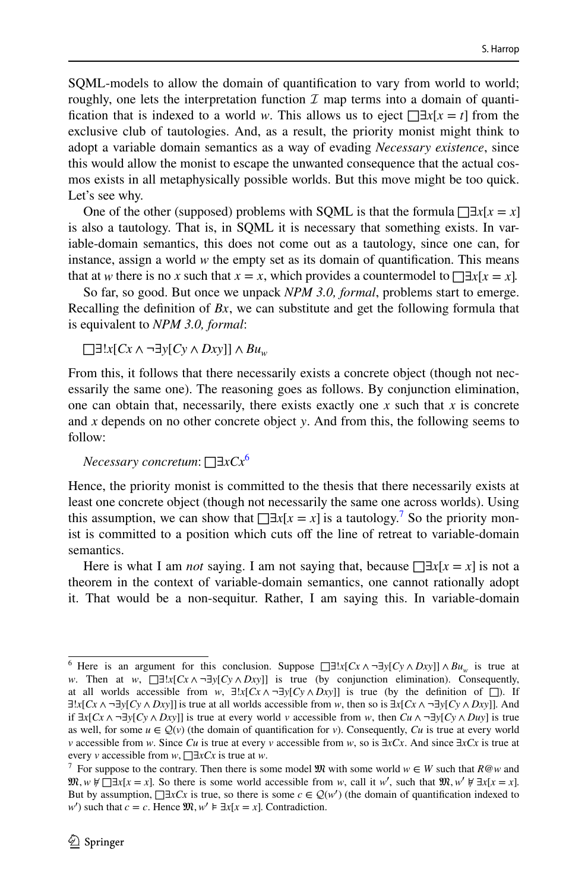SQML-models to allow the domain of quantifcation to vary from world to world; roughly, one lets the interpretation function  $\mathcal I$  map terms into a domain of quantification that is indexed to a world *w*. This allows us to eject  $\Box \exists x[x = t]$  from the exclusive club of tautologies. And, as a result, the priority monist might think to adopt a variable domain semantics as a way of evading *Necessary existence*, since this would allow the monist to escape the unwanted consequence that the actual cosmos exists in all metaphysically possible worlds. But this move might be too quick. Let's see why.

One of the other (supposed) problems with SQML is that the formula  $\Box x[x = x]$ is also a tautology. That is, in SQML it is necessary that something exists. In variable-domain semantics, this does not come out as a tautology, since one can, for instance, assign a world *w* the empty set as its domain of quantifcation. This means that at *w* there is no *x* such that  $x = x$ , which provides a countermodel to  $\Box \exists x [x = x]$ .

So far, so good. But once we unpack *NPM 3.0, formal*, problems start to emerge. Recalling the defnition of *Bx*, we can substitute and get the following formula that is equivalent to *NPM 3.0, formal*:

□∃!*x*[*Cx* ∧ ¬∃*y*[*Cy* ∧ *Dxy*]] ∧ *Buw*

From this, it follows that there necessarily exists a concrete object (though not necessarily the same one). The reasoning goes as follows. By conjunction elimination, one can obtain that, necessarily, there exists exactly one *x* such that *x* is concrete and *x* depends on no other concrete object *y*. And from this, the following seems to follow:

*Necessary concretum*: □∃*xCx*[6](#page-7-0)

Hence, the priority monist is committed to the thesis that there necessarily exists at least one concrete object (though not necessarily the same one across worlds). Using this assumption, we can show that  $\Box \exists x [x = x]$  is a tautology.<sup>[7](#page-7-1)</sup> So the priority monist is committed to a position which cuts of the line of retreat to variable-domain semantics.

Here is what I am *not* saying. I am not saying that, because  $\Box \exists x[x = x]$  is not a theorem in the context of variable-domain semantics, one cannot rationally adopt it. That would be a non-sequitur. Rather, I am saying this. In variable-domain

<span id="page-7-0"></span><sup>&</sup>lt;sup>6</sup> Here is an argument for this conclusion. Suppose  $\Box$ *z*!*x*[*Cx* ∧  $\neg$ *3y*[*Cy* ∧ *Dxy*]] ∧ *Bu<sub>w</sub>* is true at *w*. Then at *w*,  $□∃!x[Cx \land ∎∃y[Cy \land Dxy]]$  is true (by conjunction elimination). Consequently, at all worlds accessible from *w*,  $\exists !x[Cx \land \neg \exists y[Cy \land Dxy]]$  is true (by the definition of  $\Box$ ). If ∃!*x*[*Cx* ∧ ¬∃*y*[*Cy* ∧ *Dxy*]] is true at all worlds accessible from *w*, then so is ∃*x*[*Cx* ∧ ¬∃*y*[*Cy* ∧ *Dxy*]]. And *if*  $\exists x$ [*Cx* ∧ ¬ $\exists y$ [*Cy* ∧ *Dxy*]] is true at every world *v* accessible from *w*, then *Cu* ∧ ¬ $\exists y$ [*Cy* ∧ *Duy*] is true as well, for some  $u \in \mathcal{Q}(v)$  (the domain of quantification for *v*). Consequently, *Cu* is true at every world *v* accessible from *w*. Since *Cu* is true at every *v* accessible from *w*, so is ∃*xCx*. And since ∃*xCx* is true at every *v* accessible from *w*, □∃*xCx* is true at *w*.

<span id="page-7-1"></span><sup>&</sup>lt;sup>7</sup> For suppose to the contrary. Then there is some model  $\mathfrak{M}$  with some world  $w \in W$  such that  $R@w$  and  $\mathfrak{M}, w \not\in \Box \exists x[x = x]$ . So there is some world accessible from *w*, call it *w'*, such that  $\mathfrak{M}, w' \not\in \exists x[x = x]$ . But by assumption,  $\Box \exists x Cx$  is true, so there is some  $c \in \mathcal{Q}(w')$  (the domain of quantification indexed to *w*<sup>*'*</sup>) such that *c* = *c*. Hence  $\mathfrak{M}, w' \models \exists x[x = x]$ . Contradiction.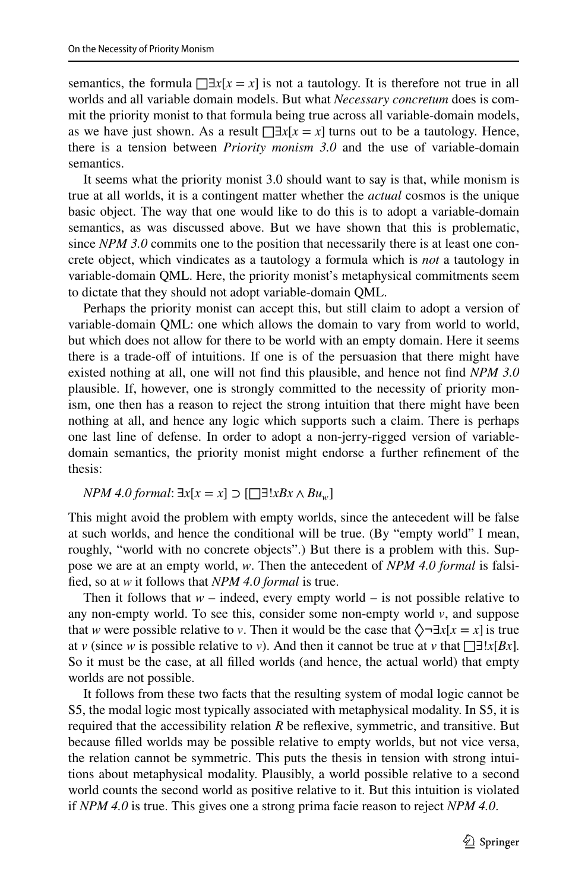semantics, the formula  $\Box \exists x[x = x]$  is not a tautology. It is therefore not true in all worlds and all variable domain models. But what *Necessary concretum* does is commit the priority monist to that formula being true across all variable-domain models, as we have just shown. As a result  $\Box x[x = x]$  turns out to be a tautology. Hence, there is a tension between *Priority monism 3.0* and the use of variable-domain semantics.

It seems what the priority monist 3.0 should want to say is that, while monism is true at all worlds, it is a contingent matter whether the *actual* cosmos is the unique basic object. The way that one would like to do this is to adopt a variable-domain semantics, as was discussed above. But we have shown that this is problematic, since *NPM 3.0* commits one to the position that necessarily there is at least one concrete object, which vindicates as a tautology a formula which is *not* a tautology in variable-domain QML. Here, the priority monist's metaphysical commitments seem to dictate that they should not adopt variable-domain QML.

Perhaps the priority monist can accept this, but still claim to adopt a version of variable-domain QML: one which allows the domain to vary from world to world, but which does not allow for there to be world with an empty domain. Here it seems there is a trade-off of intuitions. If one is of the persuasion that there might have existed nothing at all, one will not fnd this plausible, and hence not fnd *NPM 3.0* plausible. If, however, one is strongly committed to the necessity of priority monism, one then has a reason to reject the strong intuition that there might have been nothing at all, and hence any logic which supports such a claim. There is perhaps one last line of defense. In order to adopt a non-jerry-rigged version of variabledomain semantics, the priority monist might endorse a further refnement of the thesis:

#### *NPM 4.0 formal*:  $\exists x[x = x]$  ⊃ [□∃!*xBx* ∧ *Bu<sub>w</sub>*]

This might avoid the problem with empty worlds, since the antecedent will be false at such worlds, and hence the conditional will be true. (By "empty world" I mean, roughly, "world with no concrete objects".) But there is a problem with this. Suppose we are at an empty world, *w*. Then the antecedent of *NPM 4.0 formal* is falsifed, so at *w* it follows that *NPM 4.0 formal* is true.

Then it follows that  $w$  – indeed, every empty world – is not possible relative to any non-empty world. To see this, consider some non-empty world *v*, and suppose that *w* were possible relative to *v*. Then it would be the case that  $\Diamond \neg \exists x[x = x]$  is true at *v* (since *w* is possible relative to *v*). And then it cannot be true at *v* that  $\Box \exists !$ *x*[*Bx*]. So it must be the case, at all flled worlds (and hence, the actual world) that empty worlds are not possible.

It follows from these two facts that the resulting system of modal logic cannot be S5, the modal logic most typically associated with metaphysical modality. In S5, it is required that the accessibility relation *R* be refexive, symmetric, and transitive. But because flled worlds may be possible relative to empty worlds, but not vice versa, the relation cannot be symmetric. This puts the thesis in tension with strong intuitions about metaphysical modality. Plausibly, a world possible relative to a second world counts the second world as positive relative to it. But this intuition is violated if *NPM 4.0* is true. This gives one a strong prima facie reason to reject *NPM 4.0*.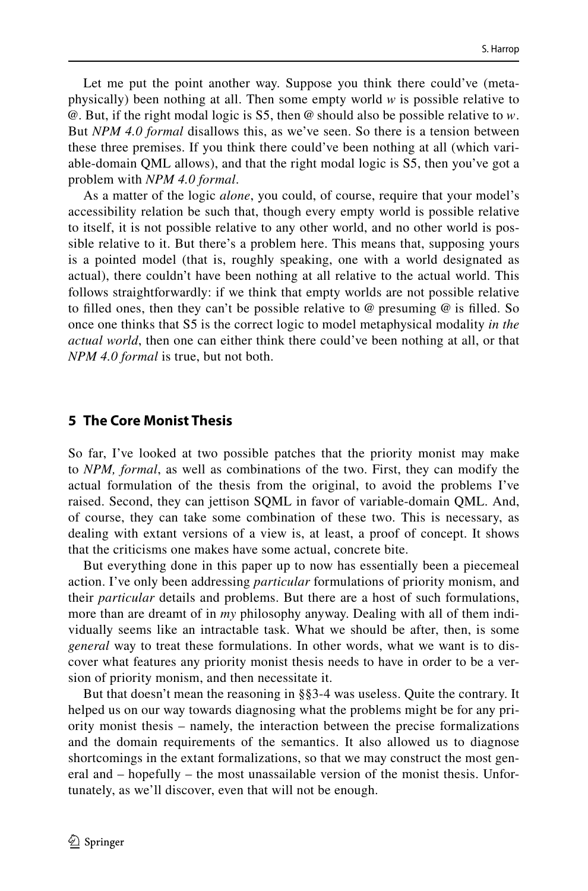Let me put the point another way. Suppose you think there could've (metaphysically) been nothing at all. Then some empty world *w* is possible relative to @. But, if the right modal logic is S5, then @ should also be possible relative to *w*. But *NPM 4.0 formal* disallows this, as we've seen. So there is a tension between these three premises. If you think there could've been nothing at all (which variable-domain QML allows), and that the right modal logic is S5, then you've got a problem with *NPM 4.0 formal*.

As a matter of the logic *alone*, you could, of course, require that your model's accessibility relation be such that, though every empty world is possible relative to itself, it is not possible relative to any other world, and no other world is possible relative to it. But there's a problem here. This means that, supposing yours is a pointed model (that is, roughly speaking, one with a world designated as actual), there couldn't have been nothing at all relative to the actual world. This follows straightforwardly: if we think that empty worlds are not possible relative to filled ones, then they can't be possible relative to  $\omega$  presuming  $\omega$  is filled. So once one thinks that S5 is the correct logic to model metaphysical modality *in the actual world*, then one can either think there could've been nothing at all, or that *NPM 4.0 formal* is true, but not both.

#### **5 The Core Monist Thesis**

So far, I've looked at two possible patches that the priority monist may make to *NPM, formal*, as well as combinations of the two. First, they can modify the actual formulation of the thesis from the original, to avoid the problems I've raised. Second, they can jettison SQML in favor of variable-domain QML. And, of course, they can take some combination of these two. This is necessary, as dealing with extant versions of a view is, at least, a proof of concept. It shows that the criticisms one makes have some actual, concrete bite.

But everything done in this paper up to now has essentially been a piecemeal action. I've only been addressing *particular* formulations of priority monism, and their *particular* details and problems. But there are a host of such formulations, more than are dreamt of in *my* philosophy anyway. Dealing with all of them individually seems like an intractable task. What we should be after, then, is some *general* way to treat these formulations. In other words, what we want is to discover what features any priority monist thesis needs to have in order to be a version of priority monism, and then necessitate it.

But that doesn't mean the reasoning in §§3-4 was useless. Quite the contrary. It helped us on our way towards diagnosing what the problems might be for any priority monist thesis – namely, the interaction between the precise formalizations and the domain requirements of the semantics. It also allowed us to diagnose shortcomings in the extant formalizations, so that we may construct the most general and – hopefully – the most unassailable version of the monist thesis. Unfortunately, as we'll discover, even that will not be enough.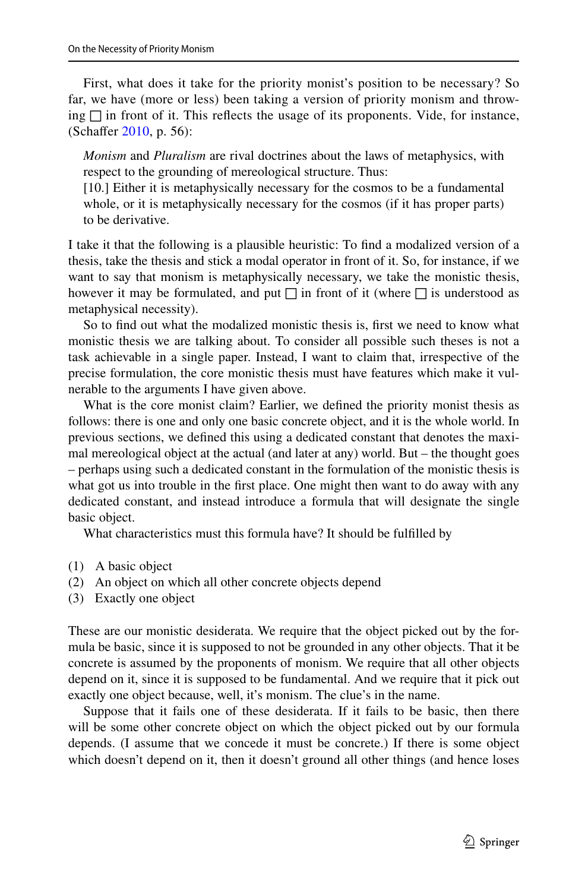First, what does it take for the priority monist's position to be necessary? So far, we have (more or less) been taking a version of priority monism and throwing  $\Box$  in front of it. This reflects the usage of its proponents. Vide, for instance, (Schafer [2010,](#page-17-1) p. 56):

*Monism* and *Pluralism* are rival doctrines about the laws of metaphysics, with respect to the grounding of mereological structure. Thus:

[10.] Either it is metaphysically necessary for the cosmos to be a fundamental whole, or it is metaphysically necessary for the cosmos (if it has proper parts) to be derivative.

I take it that the following is a plausible heuristic: To fnd a modalized version of a thesis, take the thesis and stick a modal operator in front of it. So, for instance, if we want to say that monism is metaphysically necessary, we take the monistic thesis, however it may be formulated, and put  $\Box$  in front of it (where  $\Box$  is understood as metaphysical necessity).

So to fnd out what the modalized monistic thesis is, frst we need to know what monistic thesis we are talking about. To consider all possible such theses is not a task achievable in a single paper. Instead, I want to claim that, irrespective of the precise formulation, the core monistic thesis must have features which make it vulnerable to the arguments I have given above.

What is the core monist claim? Earlier, we defned the priority monist thesis as follows: there is one and only one basic concrete object, and it is the whole world. In previous sections, we defned this using a dedicated constant that denotes the maximal mereological object at the actual (and later at any) world. But – the thought goes – perhaps using such a dedicated constant in the formulation of the monistic thesis is what got us into trouble in the frst place. One might then want to do away with any dedicated constant, and instead introduce a formula that will designate the single basic object.

What characteristics must this formula have? It should be fulflled by

- (1) A basic object
- (2) An object on which all other concrete objects depend
- (3) Exactly one object

These are our monistic desiderata. We require that the object picked out by the formula be basic, since it is supposed to not be grounded in any other objects. That it be concrete is assumed by the proponents of monism. We require that all other objects depend on it, since it is supposed to be fundamental. And we require that it pick out exactly one object because, well, it's monism. The clue's in the name.

Suppose that it fails one of these desiderata. If it fails to be basic, then there will be some other concrete object on which the object picked out by our formula depends. (I assume that we concede it must be concrete.) If there is some object which doesn't depend on it, then it doesn't ground all other things (and hence loses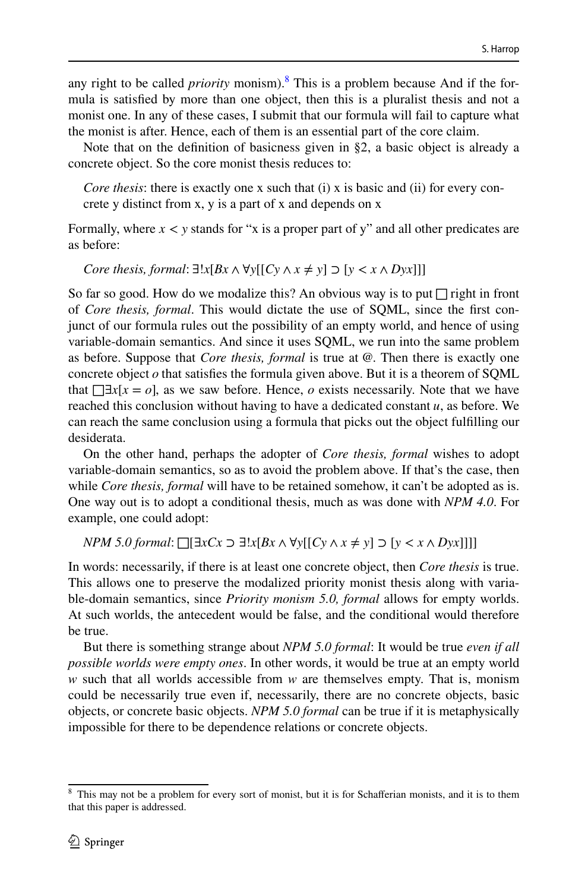any right to be called *priority* monism).<sup>[8](#page-11-0)</sup> This is a problem because And if the formula is satisfed by more than one object, then this is a pluralist thesis and not a monist one. In any of these cases, I submit that our formula will fail to capture what the monist is after. Hence, each of them is an essential part of the core claim.

Note that on the defnition of basicness given in §2, a basic object is already a concrete object. So the core monist thesis reduces to:

*Core thesis*: there is exactly one x such that (i) x is basic and (ii) for every concrete y distinct from x, y is a part of x and depends on x

Formally, where  $x < y$  stands for "x is a proper part of y" and all other predicates are as before:

*Core thesis, formal:* ∃!*x*[*Bx* ∧  $\forall$ *y*[[*Cy* ∧ *x* ≠ *y*] ⊃ [*y* < *x* ∧ *Dyx*]]]

So far so good. How do we modalize this? An obvious way is to put  $\Box$  right in front of *Core thesis, formal*. This would dictate the use of SQML, since the frst conjunct of our formula rules out the possibility of an empty world, and hence of using variable-domain semantics. And since it uses SQML, we run into the same problem as before. Suppose that *Core thesis, formal* is true at @. Then there is exactly one concrete object  $o$  that satisfies the formula given above. But it is a theorem of SQML that  $\Box x[x = 0]$ , as we saw before. Hence, *o* exists necessarily. Note that we have reached this conclusion without having to have a dedicated constant *u*, as before. We can reach the same conclusion using a formula that picks out the object fulflling our desiderata.

On the other hand, perhaps the adopter of *Core thesis, formal* wishes to adopt variable-domain semantics, so as to avoid the problem above. If that's the case, then while *Core thesis, formal* will have to be retained somehow, it can't be adopted as is. One way out is to adopt a conditional thesis, much as was done with *NPM 4.0*. For example, one could adopt:

```
NPM 5.0 formal: □[∃xCx ⊃ ∃!x[Bx ∧ ∀y[[Cy ∧ x ≠ y] ⊃ [y < x ∧ Dyx]]]]
```
In words: necessarily, if there is at least one concrete object, then *Core thesis* is true. This allows one to preserve the modalized priority monist thesis along with variable-domain semantics, since *Priority monism 5.0, formal* allows for empty worlds. At such worlds, the antecedent would be false, and the conditional would therefore be true.

But there is something strange about *NPM 5.0 formal*: It would be true *even if all possible worlds were empty ones*. In other words, it would be true at an empty world *w* such that all worlds accessible from *w* are themselves empty. That is, monism could be necessarily true even if, necessarily, there are no concrete objects, basic objects, or concrete basic objects. *NPM 5.0 formal* can be true if it is metaphysically impossible for there to be dependence relations or concrete objects.

<span id="page-11-0"></span><sup>&</sup>lt;sup>8</sup> This may not be a problem for every sort of monist, but it is for Schafferian monists, and it is to them that this paper is addressed.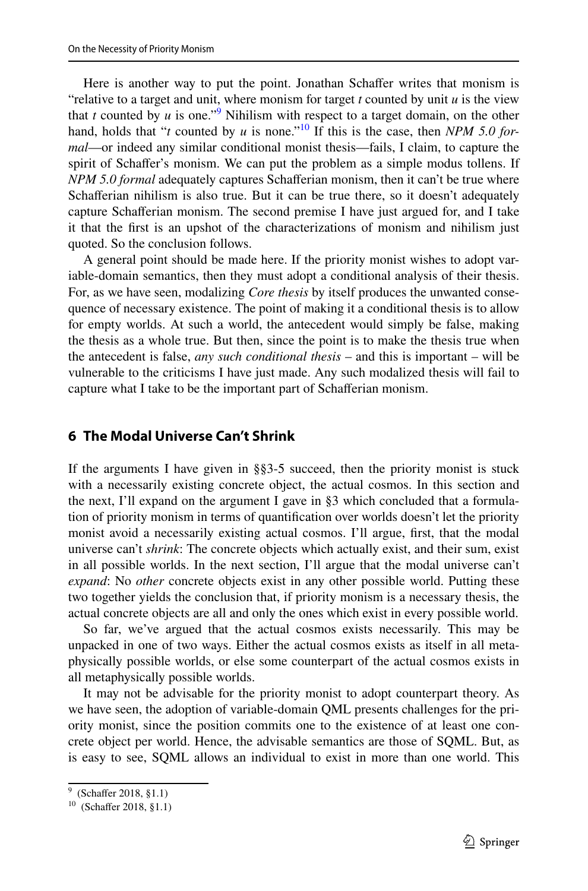Here is another way to put the point. Jonathan Schaffer writes that monism is "relative to a target and unit, where monism for target *t* counted by unit *u* is the view that *t* counted by *u* is one."<sup>[9](#page-12-0)</sup> Nihilism with respect to a target domain, on the other hand, holds that "*t* counted by *u* is none."<sup>[10](#page-12-1)</sup> If this is the case, then *NPM* 5.0 for*mal*—or indeed any similar conditional monist thesis—fails, I claim, to capture the spirit of Schafer's monism. We can put the problem as a simple modus tollens. If *NPM 5.0 formal* adequately captures Schaferian monism, then it can't be true where Schaferian nihilism is also true. But it can be true there, so it doesn't adequately capture Schaferian monism. The second premise I have just argued for, and I take it that the frst is an upshot of the characterizations of monism and nihilism just quoted. So the conclusion follows.

A general point should be made here. If the priority monist wishes to adopt variable-domain semantics, then they must adopt a conditional analysis of their thesis. For, as we have seen, modalizing *Core thesis* by itself produces the unwanted consequence of necessary existence. The point of making it a conditional thesis is to allow for empty worlds. At such a world, the antecedent would simply be false, making the thesis as a whole true. But then, since the point is to make the thesis true when the antecedent is false, *any such conditional thesis* – and this is important – will be vulnerable to the criticisms I have just made. Any such modalized thesis will fail to capture what I take to be the important part of Schaferian monism.

#### **6 The Modal Universe Can't Shrink**

If the arguments I have given in §§3-5 succeed, then the priority monist is stuck with a necessarily existing concrete object, the actual cosmos. In this section and the next, I'll expand on the argument I gave in §3 which concluded that a formulation of priority monism in terms of quantifcation over worlds doesn't let the priority monist avoid a necessarily existing actual cosmos. I'll argue, frst, that the modal universe can't *shrink*: The concrete objects which actually exist, and their sum, exist in all possible worlds. In the next section, I'll argue that the modal universe can't *expand*: No *other* concrete objects exist in any other possible world. Putting these two together yields the conclusion that, if priority monism is a necessary thesis, the actual concrete objects are all and only the ones which exist in every possible world.

So far, we've argued that the actual cosmos exists necessarily. This may be unpacked in one of two ways. Either the actual cosmos exists as itself in all metaphysically possible worlds, or else some counterpart of the actual cosmos exists in all metaphysically possible worlds.

It may not be advisable for the priority monist to adopt counterpart theory. As we have seen, the adoption of variable-domain QML presents challenges for the priority monist, since the position commits one to the existence of at least one concrete object per world. Hence, the advisable semantics are those of SQML. But, as is easy to see, SQML allows an individual to exist in more than one world. This

<span id="page-12-0"></span><sup>&</sup>lt;sup>9</sup> (Schaffer 2018, §1.1)

<span id="page-12-1"></span><sup>&</sup>lt;sup>10</sup> (Schaffer 2018, §1.1)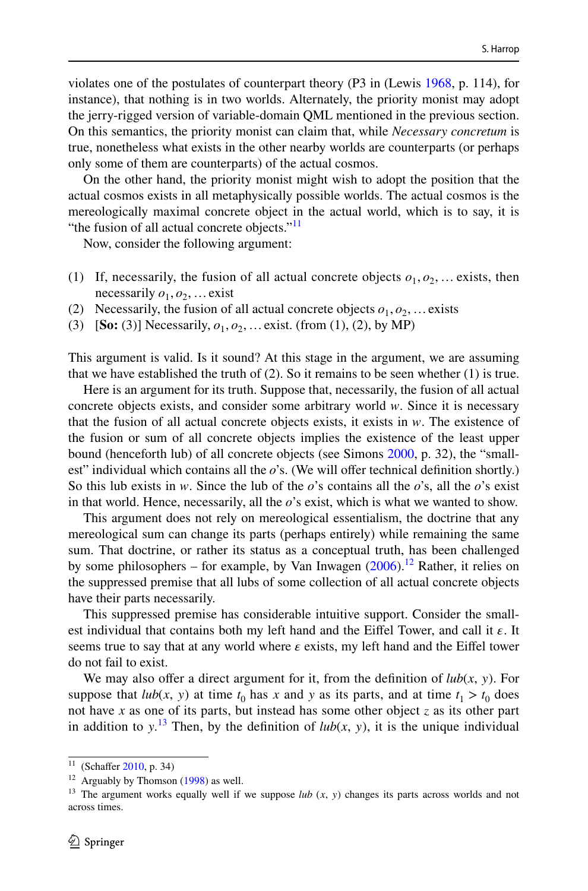violates one of the postulates of counterpart theory (P3 in (Lewis [1968,](#page-17-11) p. 114), for instance), that nothing is in two worlds. Alternately, the priority monist may adopt the jerry-rigged version of variable-domain QML mentioned in the previous section. On this semantics, the priority monist can claim that, while *Necessary concretum* is true, nonetheless what exists in the other nearby worlds are counterparts (or perhaps only some of them are counterparts) of the actual cosmos.

On the other hand, the priority monist might wish to adopt the position that the actual cosmos exists in all metaphysically possible worlds. The actual cosmos is the mereologically maximal concrete object in the actual world, which is to say, it is "the fusion of all actual concrete objects."<sup>[11](#page-13-0)</sup>

Now, consider the following argument:

- (1) If, necessarily, the fusion of all actual concrete objects  $o_1, o_2, \ldots$  exists, then necessarily  $o_1$ ,  $o_2$ , ... exist
- (2) Necessarily, the fusion of all actual concrete objects  $o_1, o_2, \ldots$  exists
- (3) **[So:** (3)] Necessarily,  $o_1, o_2, ...$  exist. (from (1), (2), by MP)

This argument is valid. Is it sound? At this stage in the argument, we are assuming that we have established the truth of  $(2)$ . So it remains to be seen whether  $(1)$  is true.

Here is an argument for its truth. Suppose that, necessarily, the fusion of all actual concrete objects exists, and consider some arbitrary world *w*. Since it is necessary that the fusion of all actual concrete objects exists, it exists in *w*. The existence of the fusion or sum of all concrete objects implies the existence of the least upper bound (henceforth lub) of all concrete objects (see Simons [2000,](#page-17-12) p. 32), the "smallest" individual which contains all the  $\rho$ 's. (We will offer technical definition shortly.) So this lub exists in *w*. Since the lub of the *o*'s contains all the *o*'s, all the *o*'s exist in that world. Hence, necessarily, all the *o*'s exist, which is what we wanted to show.

This argument does not rely on mereological essentialism, the doctrine that any mereological sum can change its parts (perhaps entirely) while remaining the same sum. That doctrine, or rather its status as a conceptual truth, has been challenged by some philosophers – for example, by Van Inwagen  $(2006)$  $(2006)$ .<sup>12</sup> Rather, it relies on the suppressed premise that all lubs of some collection of all actual concrete objects have their parts necessarily.

This suppressed premise has considerable intuitive support. Consider the smallest individual that contains both my left hand and the Eiffel Tower, and call it  $\varepsilon$ . It seems true to say that at any world where  $\varepsilon$  exists, my left hand and the Eiffel tower do not fail to exist.

We may also offer a direct argument for it, from the definition of  $lub(x, y)$ . For suppose that  $lub(x, y)$  at time  $t_0$  has x and y as its parts, and at time  $t_1 > t_0$  does not have *x* as one of its parts, but instead has some other object *z* as its other part in addition to  $y^{13}$  $y^{13}$  $y^{13}$ . Then, by the definition of  $lub(x, y)$ , it is the unique individual

<span id="page-13-0"></span><sup>&</sup>lt;sup>11</sup> (Schaffer [2010,](#page-17-1) p. 34)

<span id="page-13-1"></span> $12$  Arguably by Thomson [\(1998](#page-17-14)) as well.

<span id="page-13-2"></span><sup>&</sup>lt;sup>13</sup> The argument works equally well if we suppose  $lub$  ( $x$ ,  $y$ ) changes its parts across worlds and not across times.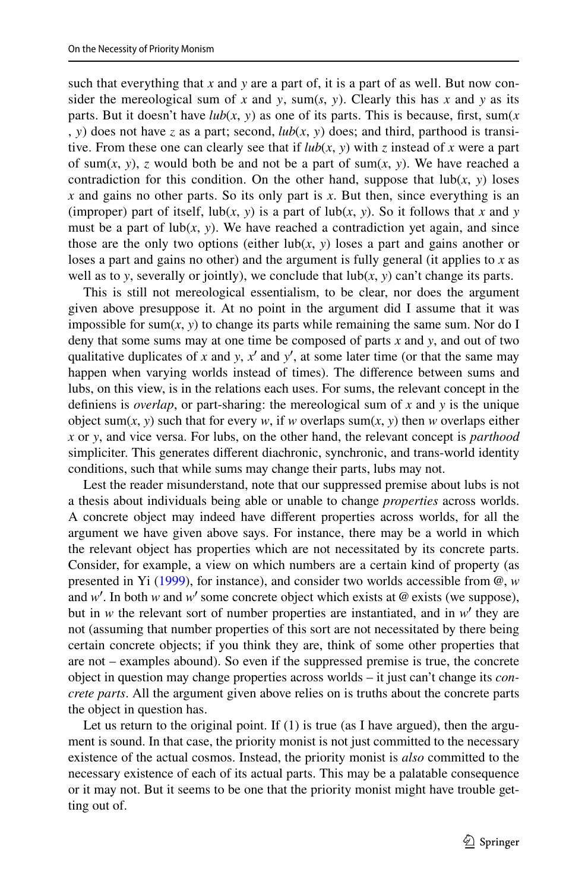such that everything that *x* and *y* are a part of, it is a part of as well. But now consider the mereological sum of x and y, sum(s, y). Clearly this has x and y as its parts. But it doesn't have  $lub(x, y)$  as one of its parts. This is because, first, sum(*x* , *y*) does not have *z* as a part; second,  $lub(x, y)$  does; and third, parthood is transitive. From these one can clearly see that if  $lub(x, y)$  with *z* instead of *x* were a part of sum $(x, y)$ , *z* would both be and not be a part of sum $(x, y)$ . We have reached a contradiction for this condition. On the other hand, suppose that  $\text{lub}(x, y)$  loses *x* and gains no other parts. So its only part is *x*. But then, since everything is an (improper) part of itself,  $\text{lub}(x, y)$  is a part of  $\text{lub}(x, y)$ . So it follows that *x* and *y* must be a part of  $lub(x, y)$ . We have reached a contradiction yet again, and since those are the only two options (either  $lub(x, y)$  loses a part and gains another or loses a part and gains no other) and the argument is fully general (it applies to *x* as well as to *y*, severally or jointly), we conclude that  $\text{lub}(x, y)$  can't change its parts.

This is still not mereological essentialism, to be clear, nor does the argument given above presuppose it. At no point in the argument did I assume that it was impossible for sum $(x, y)$  to change its parts while remaining the same sum. Nor do I deny that some sums may at one time be composed of parts *x* and *y*, and out of two qualitative duplicates of  $x$  and  $y$ ,  $x'$  and  $y'$ , at some later time (or that the same may happen when varying worlds instead of times). The diference between sums and lubs, on this view, is in the relations each uses. For sums, the relevant concept in the defniens is *overlap*, or part-sharing: the mereological sum of *x* and *y* is the unique object sum(*x*, *y*) such that for every *w*, if *w* overlaps sum(*x*, *y*) then *w* overlaps either *x* or *y*, and vice versa. For lubs, on the other hand, the relevant concept is *parthood* simpliciter. This generates diferent diachronic, synchronic, and trans-world identity conditions, such that while sums may change their parts, lubs may not.

Lest the reader misunderstand, note that our suppressed premise about lubs is not a thesis about individuals being able or unable to change *properties* across worlds. A concrete object may indeed have diferent properties across worlds, for all the argument we have given above says. For instance, there may be a world in which the relevant object has properties which are not necessitated by its concrete parts. Consider, for example, a view on which numbers are a certain kind of property (as presented in Yi ([1999\)](#page-18-0), for instance), and consider two worlds accessible from @, *w* and  $w'$ . In both  $w$  and  $w'$  some concrete object which exists at @ exists (we suppose), but in  $w$  the relevant sort of number properties are instantiated, and in  $w'$  they are not (assuming that number properties of this sort are not necessitated by there being certain concrete objects; if you think they are, think of some other properties that are not – examples abound). So even if the suppressed premise is true, the concrete object in question may change properties across worlds – it just can't change its *concrete parts*. All the argument given above relies on is truths about the concrete parts the object in question has.

Let us return to the original point. If  $(1)$  is true (as I have argued), then the argument is sound. In that case, the priority monist is not just committed to the necessary existence of the actual cosmos. Instead, the priority monist is *also* committed to the necessary existence of each of its actual parts. This may be a palatable consequence or it may not. But it seems to be one that the priority monist might have trouble getting out of.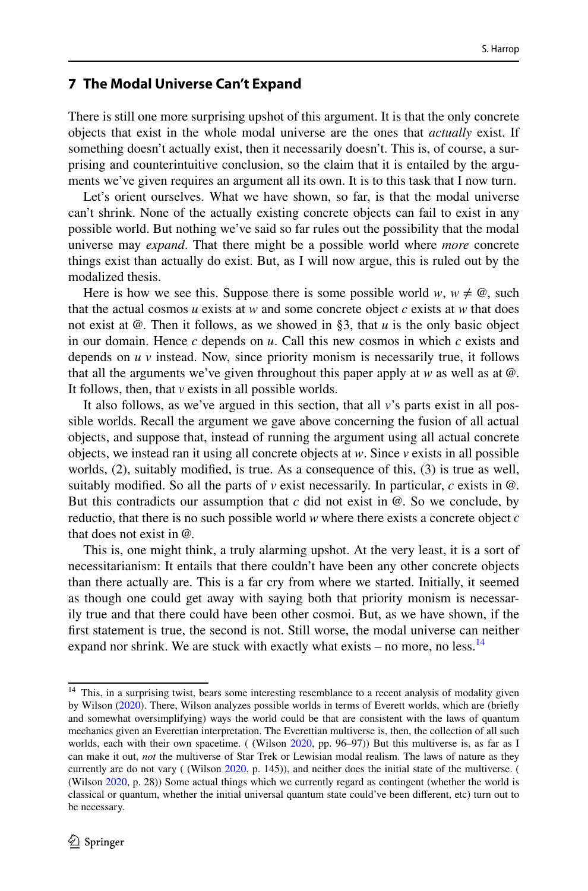#### **7 The Modal Universe Can't Expand**

There is still one more surprising upshot of this argument. It is that the only concrete objects that exist in the whole modal universe are the ones that *actually* exist. If something doesn't actually exist, then it necessarily doesn't. This is, of course, a surprising and counterintuitive conclusion, so the claim that it is entailed by the arguments we've given requires an argument all its own. It is to this task that I now turn.

Let's orient ourselves. What we have shown, so far, is that the modal universe can't shrink. None of the actually existing concrete objects can fail to exist in any possible world. But nothing we've said so far rules out the possibility that the modal universe may *expand*. That there might be a possible world where *more* concrete things exist than actually do exist. But, as I will now argue, this is ruled out by the modalized thesis.

Here is how we see this. Suppose there is some possible world *w*,  $w \neq \omega$ , such that the actual cosmos  $u$  exists at  $w$  and some concrete object  $c$  exists at  $w$  that does not exist at @. Then it follows, as we showed in §3, that *u* is the only basic object in our domain. Hence *c* depends on *u*. Call this new cosmos in which *c* exists and depends on *u v* instead. Now, since priority monism is necessarily true, it follows that all the arguments we've given throughout this paper apply at  $w$  as well as at  $\omega$ . It follows, then, that *v* exists in all possible worlds.

It also follows, as we've argued in this section, that all *v*'s parts exist in all possible worlds. Recall the argument we gave above concerning the fusion of all actual objects, and suppose that, instead of running the argument using all actual concrete objects, we instead ran it using all concrete objects at *w*. Since *v* exists in all possible worlds, (2), suitably modifed, is true. As a consequence of this, (3) is true as well, suitably modified. So all the parts of  $\nu$  exist necessarily. In particular,  $c$  exists in  $\omega$ . But this contradicts our assumption that  $c$  did not exist in  $@$ . So we conclude, by reductio, that there is no such possible world *w* where there exists a concrete object *c* that does not exist in @.

This is, one might think, a truly alarming upshot. At the very least, it is a sort of necessitarianism: It entails that there couldn't have been any other concrete objects than there actually are. This is a far cry from where we started. Initially, it seemed as though one could get away with saying both that priority monism is necessarily true and that there could have been other cosmoi. But, as we have shown, if the frst statement is true, the second is not. Still worse, the modal universe can neither expand nor shrink. We are stuck with exactly what exists – no more, no less. $14$ 

<span id="page-15-0"></span><sup>&</sup>lt;sup>14</sup> This, in a surprising twist, bears some interesting resemblance to a recent analysis of modality given by Wilson [\(2020](#page-17-15)). There, Wilson analyzes possible worlds in terms of Everett worlds, which are (briefy and somewhat oversimplifying) ways the world could be that are consistent with the laws of quantum mechanics given an Everettian interpretation. The Everettian multiverse is, then, the collection of all such worlds, each with their own spacetime. ( (Wilson [2020](#page-17-15), pp. 96–97)) But this multiverse is, as far as I can make it out, *not* the multiverse of Star Trek or Lewisian modal realism. The laws of nature as they currently are do not vary ( (Wilson [2020](#page-17-15), p. 145)), and neither does the initial state of the multiverse. ( (Wilson [2020](#page-17-15), p. 28)) Some actual things which we currently regard as contingent (whether the world is classical or quantum, whether the initial universal quantum state could've been diferent, etc) turn out to be necessary.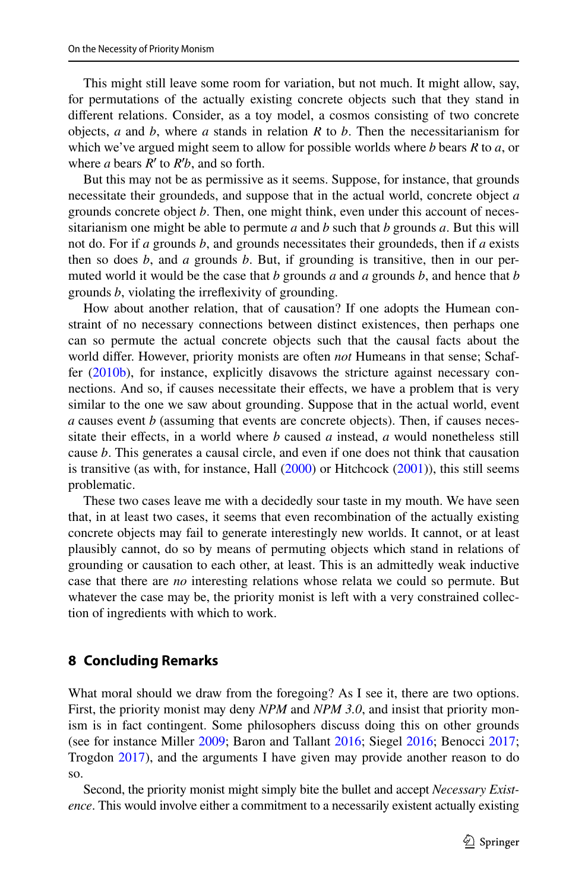This might still leave some room for variation, but not much. It might allow, say, for permutations of the actually existing concrete objects such that they stand in diferent relations. Consider, as a toy model, a cosmos consisting of two concrete objects, *a* and *b*, where *a* stands in relation *R* to *b*. Then the necessitarianism for which we've argued might seem to allow for possible worlds where *b* bears *R* to *a*, or where *a* bears *R*′ to *R*′ *b*, and so forth.

But this may not be as permissive as it seems. Suppose, for instance, that grounds necessitate their groundeds, and suppose that in the actual world, concrete object *a* grounds concrete object *b*. Then, one might think, even under this account of necessitarianism one might be able to permute *a* and *b* such that *b* grounds *a*. But this will not do. For if *a* grounds *b*, and grounds necessitates their groundeds, then if *a* exists then so does *b*, and *a* grounds *b*. But, if grounding is transitive, then in our permuted world it would be the case that *b* grounds *a* and *a* grounds *b*, and hence that *b* grounds *b*, violating the irrefexivity of grounding.

How about another relation, that of causation? If one adopts the Humean constraint of no necessary connections between distinct existences, then perhaps one can so permute the actual concrete objects such that the causal facts about the world difer. However, priority monists are often *not* Humeans in that sense; Schaffer [\(2010b](#page-17-2)), for instance, explicitly disavows the stricture against necessary connections. And so, if causes necessitate their efects, we have a problem that is very similar to the one we saw about grounding. Suppose that in the actual world, event *a* causes event *b* (assuming that events are concrete objects). Then, if causes necessitate their effects, in a world where  $b$  caused  $a$  instead,  $a$  would nonetheless still cause *b*. This generates a causal circle, and even if one does not think that causation is transitive (as with, for instance, Hall  $(2000)$  $(2000)$  or Hitchcock  $(2001)$  $(2001)$ ), this still seems problematic.

These two cases leave me with a decidedly sour taste in my mouth. We have seen that, in at least two cases, it seems that even recombination of the actually existing concrete objects may fail to generate interestingly new worlds. It cannot, or at least plausibly cannot, do so by means of permuting objects which stand in relations of grounding or causation to each other, at least. This is an admittedly weak inductive case that there are *no* interesting relations whose relata we could so permute. But whatever the case may be, the priority monist is left with a very constrained collection of ingredients with which to work.

#### **8 Concluding Remarks**

What moral should we draw from the foregoing? As I see it, there are two options. First, the priority monist may deny *NPM* and *NPM 3.0*, and insist that priority monism is in fact contingent. Some philosophers discuss doing this on other grounds (see for instance Miller [2009](#page-17-18); Baron and Tallant [2016](#page-17-19); Siegel [2016;](#page-17-5) Benocci [2017;](#page-17-20) Trogdon [2017\)](#page-17-4), and the arguments I have given may provide another reason to do so.

Second, the priority monist might simply bite the bullet and accept *Necessary Existence*. This would involve either a commitment to a necessarily existent actually existing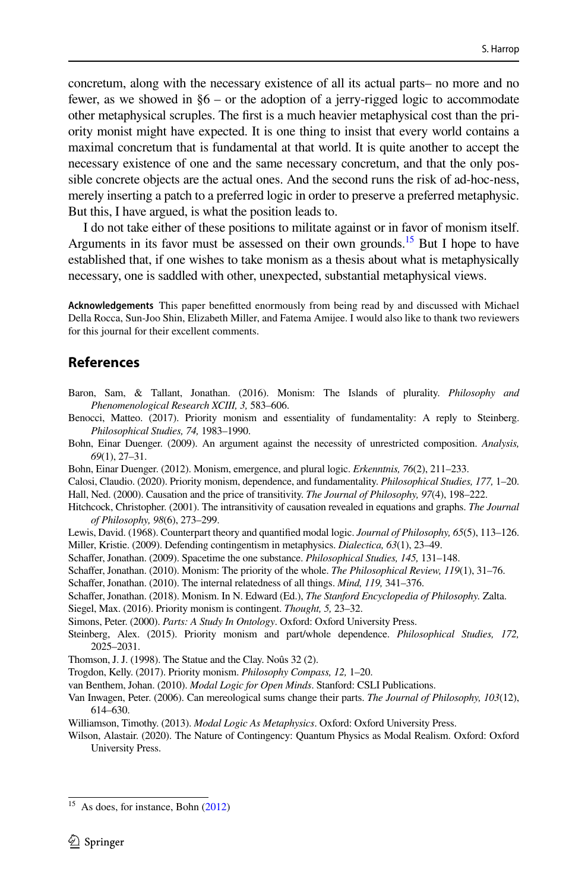concretum, along with the necessary existence of all its actual parts– no more and no fewer, as we showed in §6 – or the adoption of a jerry-rigged logic to accommodate other metaphysical scruples. The frst is a much heavier metaphysical cost than the priority monist might have expected. It is one thing to insist that every world contains a maximal concretum that is fundamental at that world. It is quite another to accept the necessary existence of one and the same necessary concretum, and that the only possible concrete objects are the actual ones. And the second runs the risk of ad-hoc-ness, merely inserting a patch to a preferred logic in order to preserve a preferred metaphysic. But this, I have argued, is what the position leads to.

I do not take either of these positions to militate against or in favor of monism itself. Arguments in its favor must be assessed on their own grounds.<sup>15</sup> But I hope to have established that, if one wishes to take monism as a thesis about what is metaphysically necessary, one is saddled with other, unexpected, substantial metaphysical views.

**Acknowledgements** This paper beneftted enormously from being read by and discussed with Michael Della Rocca, Sun-Joo Shin, Elizabeth Miller, and Fatema Amijee. I would also like to thank two reviewers for this journal for their excellent comments.

## **References**

- <span id="page-17-19"></span>Baron, Sam, & Tallant, Jonathan. (2016). Monism: The Islands of plurality. *Philosophy and Phenomenological Research XCIII, 3,* 583–606.
- <span id="page-17-20"></span>Benocci, Matteo. (2017). Priority monism and essentiality of fundamentality: A reply to Steinberg. *Philosophical Studies, 74,* 1983–1990.
- <span id="page-17-8"></span>Bohn, Einar Duenger. (2009). An argument against the necessity of unrestricted composition. *Analysis, 69*(1), 27–31.
- <span id="page-17-22"></span>Bohn, Einar Duenger. (2012). Monism, emergence, and plural logic. *Erkenntnis, 76*(2), 211–233.

<span id="page-17-16"></span><span id="page-17-3"></span>Calosi, Claudio. (2020). Priority monism, dependence, and fundamentality. *Philosophical Studies, 177,* 1–20. Hall, Ned. (2000). Causation and the price of transitivity. *The Journal of Philosophy, 97*(4), 198–222.

- <span id="page-17-17"></span>Hitchcock, Christopher. (2001). The intransitivity of causation revealed in equations and graphs. *The Journal of Philosophy, 98*(6), 273–299.
- <span id="page-17-18"></span><span id="page-17-11"></span>Lewis, David. (1968). Counterpart theory and quantifed modal logic. *Journal of Philosophy, 65*(5), 113–126. Miller, Kristie. (2009). Defending contingentism in metaphysics. *Dialectica, 63*(1), 23–49.
- <span id="page-17-0"></span>Schafer, Jonathan. (2009). Spacetime the one substance. *Philosophical Studies, 145,* 131–148.
- <span id="page-17-1"></span>Schafer, Jonathan. (2010). Monism: The priority of the whole. *The Philosophical Review, 119*(1), 31–76.

<span id="page-17-2"></span>Schafer, Jonathan. (2010). The internal relatedness of all things. *Mind, 119,* 341–376.

<span id="page-17-7"></span>Schafer, Jonathan. (2018). Monism. In N. Edward (Ed.), *The Stanford Encyclopedia of Philosophy.* Zalta.

<span id="page-17-5"></span>Siegel, Max. (2016). Priority monism is contingent. *Thought, 5,* 23–32.

- <span id="page-17-12"></span>Simons, Peter. (2000). *Parts: A Study In Ontology*. Oxford: Oxford University Press.
- <span id="page-17-6"></span>Steinberg, Alex. (2015). Priority monism and part/whole dependence. *Philosophical Studies, 172,* 2025–2031.
- <span id="page-17-14"></span>Thomson, J. J. (1998). The Statue and the Clay. Noûs 32 (2).
- <span id="page-17-4"></span>Trogdon, Kelly. (2017). Priority monism. *Philosophy Compass, 12,* 1–20.

<span id="page-17-10"></span>van Benthem, Johan. (2010). *Modal Logic for Open Minds*. Stanford: CSLI Publications.

- <span id="page-17-13"></span>Van Inwagen, Peter. (2006). Can mereological sums change their parts. *The Journal of Philosophy, 103*(12), 614–630.
- <span id="page-17-9"></span>Williamson, Timothy. (2013). *Modal Logic As Metaphysics*. Oxford: Oxford University Press.
- <span id="page-17-15"></span>Wilson, Alastair. (2020). The Nature of Contingency: Quantum Physics as Modal Realism. Oxford: Oxford University Press.

<span id="page-17-21"></span> $15$  As does, for instance, Bohn [\(2012](#page-17-22))